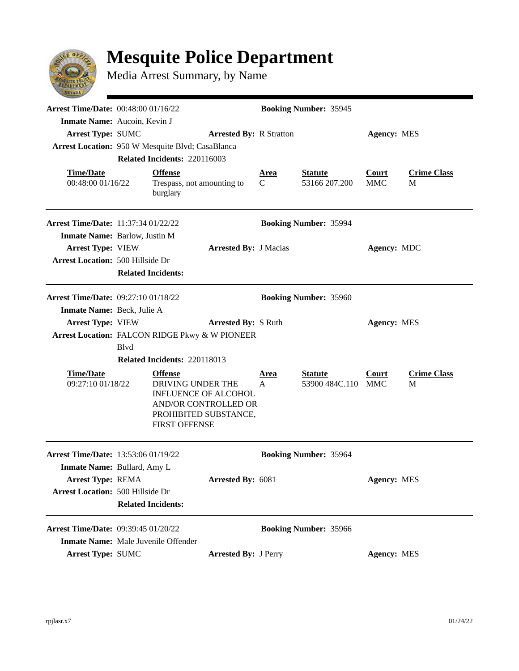

## **Mesquite Police Department**

Media Arrest Summary, by Name

| <b>Arrest Time/Date: 00:48:00 01/16/22</b><br>Inmate Name: Aucoin, Kevin J                                    |                                                                                                                                                                             |                                                          |                                | <b>Booking Number: 35945</b>         |                                 |                         |                         |  |
|---------------------------------------------------------------------------------------------------------------|-----------------------------------------------------------------------------------------------------------------------------------------------------------------------------|----------------------------------------------------------|--------------------------------|--------------------------------------|---------------------------------|-------------------------|-------------------------|--|
| <b>Arrest Type: SUMC</b><br>Arrest Location: 950 W Mesquite Blvd; CasaBlanca                                  |                                                                                                                                                                             | Related Incidents: 220116003                             | <b>Arrested By: R Stratton</b> |                                      |                                 | <b>Agency: MES</b>      |                         |  |
| <b>Time/Date</b><br>00:48:00 01/16/22                                                                         |                                                                                                                                                                             | <b>Offense</b><br>Trespass, not amounting to<br>burglary |                                | <u>Area</u><br>C                     | <b>Statute</b><br>53166 207.200 | Court<br><b>MMC</b>     | <b>Crime Class</b><br>M |  |
| <b>Arrest Time/Date: 11:37:34 01/22/22</b>                                                                    |                                                                                                                                                                             |                                                          |                                | <b>Booking Number: 35994</b>         |                                 |                         |                         |  |
| Inmate Name: Barlow, Justin M<br><b>Arrest Type: VIEW</b><br><b>Arrest Location: 500 Hillside Dr</b>          | <b>Related Incidents:</b>                                                                                                                                                   |                                                          | <b>Arrested By: J Macias</b>   |                                      |                                 | <b>Agency: MDC</b>      |                         |  |
| <b>Arrest Time/Date: 09:27:10 01/18/22</b><br>Inmate Name: Beck, Julie A                                      |                                                                                                                                                                             |                                                          |                                |                                      | <b>Booking Number: 35960</b>    |                         |                         |  |
| <b>Arrest Type: VIEW</b><br>Arrest Location: FALCON RIDGE Pkwy & W PIONEER                                    | <b>B</b> lvd                                                                                                                                                                |                                                          | <b>Arrested By: S Ruth</b>     | <b>Agency: MES</b>                   |                                 |                         |                         |  |
| <b>Time/Date</b><br>09:27:10 01/18/22                                                                         | Related Incidents: 220118013<br><b>Offense</b><br>DRIVING UNDER THE<br><b>INFLUENCE OF ALCOHOL</b><br>AND/OR CONTROLLED OR<br>PROHIBITED SUBSTANCE,<br><b>FIRST OFFENSE</b> |                                                          | <u>Area</u><br>$\mathsf{A}$    | <b>Statute</b><br>53900 484C.110 MMC | <b>Court</b>                    | <b>Crime Class</b><br>M |                         |  |
| Arrest Time/Date: 13:53:06 01/19/22                                                                           |                                                                                                                                                                             |                                                          |                                |                                      | <b>Booking Number: 35964</b>    |                         |                         |  |
| Inmate Name: Bullard, Amy L<br><b>Arrest Type: REMA</b><br><b>Arrest Location: 500 Hillside Dr</b>            | <b>Related Incidents:</b>                                                                                                                                                   |                                                          | <b>Arrested By: 6081</b>       |                                      |                                 | Agency: MES             |                         |  |
| Arrest Time/Date: 09:39:45 01/20/22<br><b>Inmate Name:</b> Male Juvenile Offender<br><b>Arrest Type: SUMC</b> |                                                                                                                                                                             |                                                          | <b>Arrested By: J Perry</b>    |                                      | <b>Booking Number: 35966</b>    | <b>Agency: MES</b>      |                         |  |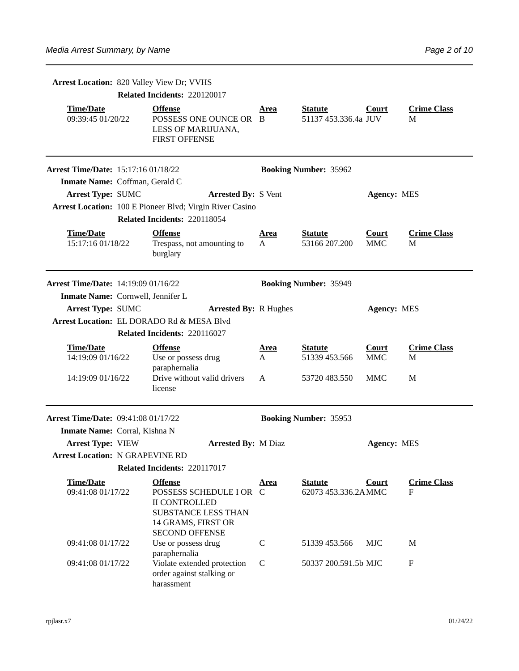|                                            | Arrest Location: 820 Valley View Dr; VVHS |                                                                                                                                                |                             |                                        |                            |                           |  |  |
|--------------------------------------------|-------------------------------------------|------------------------------------------------------------------------------------------------------------------------------------------------|-----------------------------|----------------------------------------|----------------------------|---------------------------|--|--|
|                                            |                                           | Related Incidents: 220120017                                                                                                                   |                             |                                        |                            |                           |  |  |
| <b>Time/Date</b><br>09:39:45 01/20/22      |                                           | <b>Offense</b><br>POSSESS ONE OUNCE OR B<br>LESS OF MARIJUANA,<br><b>FIRST OFFENSE</b>                                                         | Area                        | <b>Statute</b><br>51137 453.336.4a JUV | Court                      | <b>Crime Class</b><br>M   |  |  |
| <b>Arrest Time/Date: 15:17:16 01/18/22</b> |                                           |                                                                                                                                                |                             | <b>Booking Number: 35962</b>           |                            |                           |  |  |
| Inmate Name: Coffman, Gerald C             |                                           |                                                                                                                                                |                             |                                        |                            |                           |  |  |
| <b>Arrest Type: SUMC</b>                   |                                           | <b>Arrested By: S Vent</b>                                                                                                                     |                             |                                        | <b>Agency: MES</b>         |                           |  |  |
|                                            |                                           | Arrest Location: 100 E Pioneer Blvd; Virgin River Casino                                                                                       |                             |                                        |                            |                           |  |  |
|                                            |                                           | Related Incidents: 220118054                                                                                                                   |                             |                                        |                            |                           |  |  |
| <b>Time/Date</b><br>15:17:16 01/18/22      |                                           | <b>Offense</b><br>Trespass, not amounting to<br>burglary                                                                                       | <u>Area</u><br>$\mathbf{A}$ | <b>Statute</b><br>53166 207.200        | <b>Court</b><br><b>MMC</b> | <b>Crime Class</b><br>M   |  |  |
| <b>Arrest Time/Date: 14:19:09 01/16/22</b> |                                           |                                                                                                                                                |                             | <b>Booking Number: 35949</b>           |                            |                           |  |  |
| Inmate Name: Cornwell, Jennifer L          |                                           |                                                                                                                                                |                             |                                        |                            |                           |  |  |
| <b>Arrest Type: SUMC</b>                   |                                           | <b>Arrested By: R Hughes</b>                                                                                                                   | <b>Agency: MES</b>          |                                        |                            |                           |  |  |
|                                            |                                           | Arrest Location: EL DORADO Rd & MESA Blvd                                                                                                      |                             |                                        |                            |                           |  |  |
|                                            |                                           | Related Incidents: 220116027                                                                                                                   |                             |                                        |                            |                           |  |  |
| <b>Time/Date</b><br>14:19:09 01/16/22      |                                           | <b>Offense</b><br>Use or possess drug<br>paraphernalia                                                                                         | <u>Area</u><br>A            | <b>Statute</b><br>51339 453.566        | <b>Court</b><br><b>MMC</b> | <b>Crime Class</b><br>M   |  |  |
| 14:19:09 01/16/22                          |                                           | Drive without valid drivers<br>license                                                                                                         | A                           | 53720 483.550                          | MMC                        | M                         |  |  |
| <b>Arrest Time/Date: 09:41:08 01/17/22</b> |                                           |                                                                                                                                                |                             | <b>Booking Number: 35953</b>           |                            |                           |  |  |
| Inmate Name: Corral, Kishna N              |                                           |                                                                                                                                                |                             |                                        |                            |                           |  |  |
| <b>Arrest Type: VIEW</b>                   |                                           | <b>Arrested By: M Diaz</b>                                                                                                                     |                             |                                        | <b>Agency: MES</b>         |                           |  |  |
| <b>Arrest Location: N GRAPEVINE RD</b>     |                                           |                                                                                                                                                |                             |                                        |                            |                           |  |  |
|                                            |                                           | Related Incidents: 220117017                                                                                                                   |                             |                                        |                            |                           |  |  |
| <b>Time/Date</b><br>09:41:08 01/17/22      |                                           | <b>Offense</b><br>POSSESS SCHEDULE I OR C<br><b>II CONTROLLED</b><br><b>SUBSTANCE LESS THAN</b><br>14 GRAMS, FIRST OR<br><b>SECOND OFFENSE</b> | Area                        | <b>Statute</b><br>62073 453.336.2AMMC  | Court                      | <b>Crime Class</b><br>F   |  |  |
| 09:41:08 01/17/22                          |                                           | Use or possess drug<br>paraphernalia                                                                                                           | C                           | 51339 453.566                          | <b>MJC</b>                 | M                         |  |  |
| 09:41:08 01/17/22                          |                                           | Violate extended protection<br>order against stalking or<br>harassment                                                                         | C                           | 50337 200.591.5b MJC                   |                            | $\boldsymbol{\mathrm{F}}$ |  |  |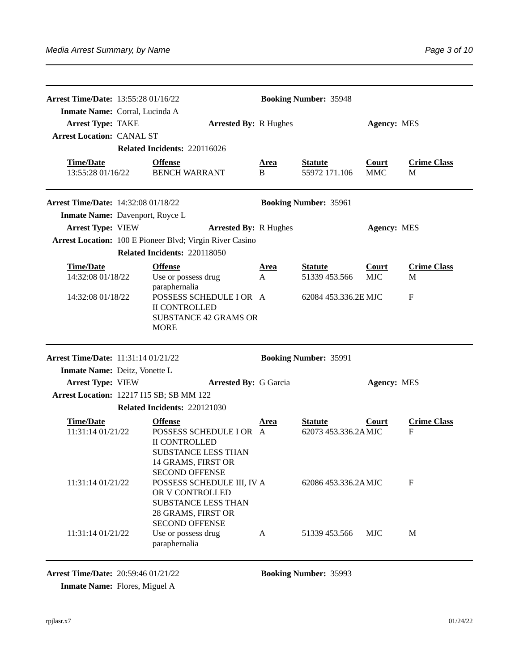| <b>Arrest Time/Date: 13:55:28 01/16/22</b><br>Inmate Name: Corral, Lucinda A |                                                                                                                                                |                  | <b>Booking Number: 35948</b>          |                            |                         |
|------------------------------------------------------------------------------|------------------------------------------------------------------------------------------------------------------------------------------------|------------------|---------------------------------------|----------------------------|-------------------------|
| <b>Arrest Type: TAKE</b><br><b>Arrest Location: CANAL ST</b>                 | <b>Arrested By: R Hughes</b>                                                                                                                   |                  |                                       | <b>Agency: MES</b>         |                         |
|                                                                              | Related Incidents: 220116026                                                                                                                   |                  |                                       |                            |                         |
| <b>Time/Date</b><br>13:55:28 01/16/22                                        | <b>Offense</b><br><b>BENCH WARRANT</b>                                                                                                         | <u>Area</u><br>B | <b>Statute</b><br>55972 171.106       | <b>Court</b><br><b>MMC</b> | <b>Crime Class</b><br>M |
| <b>Arrest Time/Date: 14:32:08 01/18/22</b>                                   |                                                                                                                                                |                  | <b>Booking Number: 35961</b>          |                            |                         |
| Inmate Name: Davenport, Royce L                                              |                                                                                                                                                |                  |                                       |                            |                         |
| <b>Arrest Type: VIEW</b>                                                     | <b>Arrested By: R Hughes</b>                                                                                                                   |                  |                                       | <b>Agency: MES</b>         |                         |
|                                                                              | Arrest Location: 100 E Pioneer Blvd; Virgin River Casino                                                                                       |                  |                                       |                            |                         |
|                                                                              | Related Incidents: 220118050                                                                                                                   |                  |                                       |                            |                         |
| <b>Time/Date</b>                                                             | <b>Offense</b>                                                                                                                                 | Area             | <b>Statute</b>                        | Court                      | <b>Crime Class</b>      |
| 14:32:08 01/18/22                                                            | Use or possess drug                                                                                                                            | A                | 51339 453.566                         | <b>MJC</b>                 | M                       |
| 14:32:08 01/18/22                                                            | paraphernalia<br>POSSESS SCHEDULE I OR A<br><b>II CONTROLLED</b><br><b>SUBSTANCE 42 GRAMS OR</b><br><b>MORE</b>                                |                  | 62084 453.336.2E MJC                  |                            | $\mathbf{F}$            |
| <b>Arrest Time/Date: 11:31:14 01/21/22</b><br>Inmate Name: Deitz, Vonette L  |                                                                                                                                                |                  | <b>Booking Number: 35991</b>          |                            |                         |
| <b>Arrest Type: VIEW</b>                                                     | <b>Arrested By: G Garcia</b>                                                                                                                   |                  |                                       | <b>Agency: MES</b>         |                         |
| <b>Arrest Location: 12217 I15 SB; SB MM 122</b>                              |                                                                                                                                                |                  |                                       |                            |                         |
|                                                                              | Related Incidents: 220121030                                                                                                                   |                  |                                       |                            |                         |
| <b>Time/Date</b><br>11:31:14 01/21/22                                        | <b>Offense</b><br>POSSESS SCHEDULE I OR A<br><b>II CONTROLLED</b><br><b>SUBSTANCE LESS THAN</b><br>14 GRAMS, FIRST OR<br><b>SECOND OFFENSE</b> | <u>Area</u>      | <b>Statute</b><br>62073 453.336.2AMJC | Court                      | <b>Crime Class</b><br>F |
| 11:31:14 01/21/22                                                            | POSSESS SCHEDULE III, IV A<br>OR V CONTROLLED<br><b>SUBSTANCE LESS THAN</b><br>28 GRAMS, FIRST OR<br><b>SECOND OFFENSE</b>                     |                  | 62086 453.336.2AMJC                   |                            | F                       |
| 11:31:14 01/21/22                                                            | Use or possess drug<br>paraphernalia                                                                                                           | A                | 51339 453.566                         | <b>MJC</b>                 | M                       |

**Arrest Time/Date:** 20:59:46 01/21/22 **Booking Number:** 35993

**Inmate Name:** Flores, Miguel A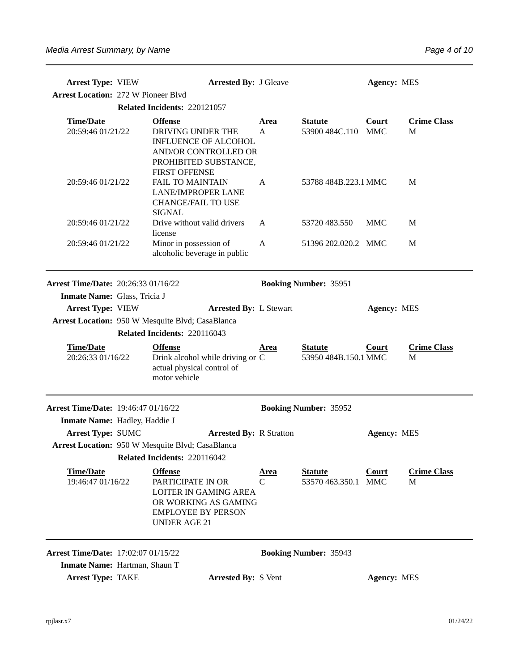| <b>Arrest Type: VIEW</b><br><b>Arrest Location: 272 W Pioneer Blvd</b> | <b>Arrested By: J Gleave</b>                                                                                                                    |                  |                                        | <b>Agency: MES</b> |                         |
|------------------------------------------------------------------------|-------------------------------------------------------------------------------------------------------------------------------------------------|------------------|----------------------------------------|--------------------|-------------------------|
|                                                                        | Related Incidents: 220121057                                                                                                                    |                  |                                        |                    |                         |
| <b>Time/Date</b><br>20:59:46 01/21/22                                  | <b>Offense</b><br>DRIVING UNDER THE<br><b>INFLUENCE OF ALCOHOL</b><br>AND/OR CONTROLLED OR<br>PROHIBITED SUBSTANCE,                             | <u>Area</u><br>A | <b>Statute</b><br>53900 484C.110 MMC   | <b>Court</b>       | <b>Crime Class</b><br>M |
| 20:59:46 01/21/22                                                      | <b>FIRST OFFENSE</b><br><b>FAIL TO MAINTAIN</b><br><b>LANE/IMPROPER LANE</b><br><b>CHANGE/FAIL TO USE</b><br>SIGNAL                             | A                | 53788 484B.223.1 MMC                   |                    | M                       |
| 20:59:46 01/21/22                                                      | Drive without valid drivers                                                                                                                     | $\mathbf{A}$     | 53720 483.550                          | <b>MMC</b>         | M                       |
| 20:59:46 01/21/22                                                      | license<br>Minor in possession of<br>alcoholic beverage in public                                                                               | $\mathbf{A}$     | 51396 202.020.2 MMC                    |                    | M                       |
| <b>Arrest Time/Date: 20:26:33 01/16/22</b>                             |                                                                                                                                                 |                  | <b>Booking Number: 35951</b>           |                    |                         |
| Inmate Name: Glass, Tricia J                                           |                                                                                                                                                 |                  |                                        |                    |                         |
| <b>Arrest Type: VIEW</b>                                               | <b>Arrested By: L Stewart</b>                                                                                                                   |                  |                                        | <b>Agency: MES</b> |                         |
|                                                                        | Arrest Location: 950 W Mesquite Blvd; CasaBlanca                                                                                                |                  |                                        |                    |                         |
|                                                                        | Related Incidents: 220116043                                                                                                                    |                  |                                        |                    |                         |
| <b>Time/Date</b><br>20:26:33 01/16/22                                  | <b>Offense</b><br>Drink alcohol while driving or C<br>actual physical control of<br>motor vehicle                                               | Area             | <b>Statute</b><br>53950 484B.150.1 MMC | Court              | <b>Crime Class</b><br>M |
| Arrest Time/Date: 19:46:47 01/16/22                                    |                                                                                                                                                 |                  | <b>Booking Number: 35952</b>           |                    |                         |
| Inmate Name: Hadley, Haddie J                                          |                                                                                                                                                 |                  |                                        |                    |                         |
| <b>Arrest Type: SUMC</b>                                               | <b>Arrested By: R Stratton</b>                                                                                                                  |                  |                                        | <b>Agency: MES</b> |                         |
|                                                                        | Arrest Location: 950 W Mesquite Blvd; CasaBlanca                                                                                                |                  |                                        |                    |                         |
|                                                                        | Related Incidents: 220116042                                                                                                                    |                  |                                        |                    |                         |
| <b>Time/Date</b><br>19:46:47 01/16/22                                  | <b>Offense</b><br>PARTICIPATE IN OR<br><b>LOITER IN GAMING AREA</b><br>OR WORKING AS GAMING<br><b>EMPLOYEE BY PERSON</b><br><b>UNDER AGE 21</b> | <u>Area</u><br>C | <b>Statute</b><br>53570 463.350.1 MMC  | <b>Court</b>       | <b>Crime Class</b><br>M |
| <b>Arrest Time/Date: 17:02:07 01/15/22</b>                             |                                                                                                                                                 |                  | <b>Booking Number: 35943</b>           |                    |                         |
| Inmate Name: Hartman, Shaun T                                          |                                                                                                                                                 |                  |                                        |                    |                         |
| <b>Arrest Type: TAKE</b>                                               | <b>Arrested By: S Vent</b>                                                                                                                      |                  |                                        | <b>Agency: MES</b> |                         |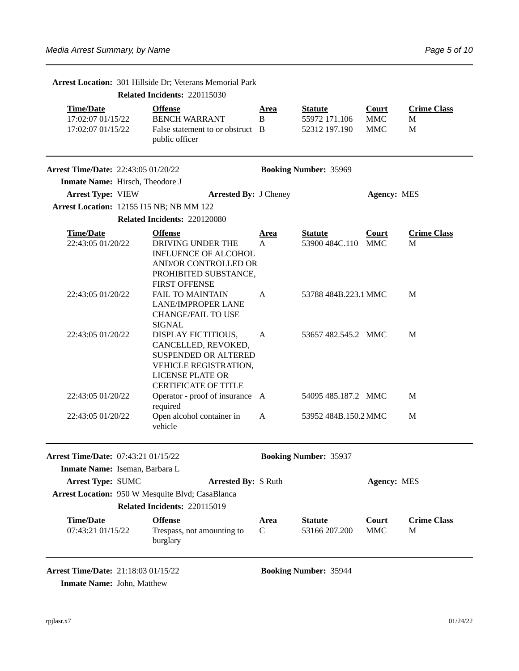Arrest Location: 301 Hillside Dr; Veterans Memorial Park

|                                                            | Related Incidents: 220115030                                                                                                                                 |                  |                                                  |                                          |                              |
|------------------------------------------------------------|--------------------------------------------------------------------------------------------------------------------------------------------------------------|------------------|--------------------------------------------------|------------------------------------------|------------------------------|
| <b>Time/Date</b><br>17:02:07 01/15/22<br>17:02:07 01/15/22 | <b>Offense</b><br><b>BENCH WARRANT</b><br>False statement to or obstruct B<br>public officer                                                                 | <u>Area</u><br>B | <b>Statute</b><br>55972 171.106<br>52312 197.190 | <b>Court</b><br><b>MMC</b><br><b>MMC</b> | <b>Crime Class</b><br>M<br>M |
| <b>Arrest Time/Date: 22:43:05 01/20/22</b>                 |                                                                                                                                                              |                  | <b>Booking Number: 35969</b>                     |                                          |                              |
| Inmate Name: Hirsch, Theodore J                            |                                                                                                                                                              |                  |                                                  |                                          |                              |
| <b>Arrest Type: VIEW</b>                                   | <b>Arrested By: J Cheney</b>                                                                                                                                 |                  |                                                  | <b>Agency: MES</b>                       |                              |
| <b>Arrest Location: 12155 I15 NB; NB MM 122</b>            |                                                                                                                                                              |                  |                                                  |                                          |                              |
|                                                            | Related Incidents: 220120080                                                                                                                                 |                  |                                                  |                                          |                              |
| <b>Time/Date</b><br>22:43:05 01/20/22                      | <b>Offense</b><br>DRIVING UNDER THE<br><b>INFLUENCE OF ALCOHOL</b><br><b>AND/OR CONTROLLED OR</b><br>PROHIBITED SUBSTANCE,<br><b>FIRST OFFENSE</b>           | <u>Area</u><br>A | <b>Statute</b><br>53900 484C.110                 | <b>Court</b><br>MMC                      | <b>Crime Class</b><br>M      |
| 22:43:05 01/20/22                                          | <b>FAIL TO MAINTAIN</b><br><b>LANE/IMPROPER LANE</b><br><b>CHANGE/FAIL TO USE</b><br><b>SIGNAL</b>                                                           | A                | 53788 484B.223.1 MMC                             |                                          | M                            |
| 22:43:05 01/20/22                                          | DISPLAY FICTITIOUS,<br>CANCELLED, REVOKED,<br><b>SUSPENDED OR ALTERED</b><br>VEHICLE REGISTRATION,<br><b>LICENSE PLATE OR</b><br><b>CERTIFICATE OF TITLE</b> | $\mathbf{A}$     | 53657 482.545.2 MMC                              |                                          | M                            |
| 22:43:05 01/20/22                                          | Operator - proof of insurance A<br>required                                                                                                                  |                  | 54095 485.187.2 MMC                              |                                          | M                            |
| 22:43:05 01/20/22                                          | Open alcohol container in<br>vehicle                                                                                                                         | A                | 53952 484B.150.2 MMC                             |                                          | M                            |
| Arrest Time/Date: 07:43:21 01/15/22                        |                                                                                                                                                              |                  | <b>Booking Number: 35937</b>                     |                                          |                              |
| Inmate Name: Iseman, Barbara L                             |                                                                                                                                                              |                  |                                                  |                                          |                              |
| <b>Arrest Type: SUMC</b>                                   | <b>Arrested By: S Ruth</b><br>Arrest Location: 950 W Mesquite Blvd; CasaBlanca                                                                               |                  |                                                  | <b>Agency: MES</b>                       |                              |
|                                                            | Related Incidents: 220115019                                                                                                                                 |                  |                                                  |                                          |                              |
| <b>Time/Date</b><br>07:43:21 01/15/22                      | <b>Offense</b><br>Trespass, not amounting to<br>burglary                                                                                                     | <u>Area</u><br>C | <b>Statute</b><br>53166 207.200                  | <b>Court</b><br><b>MMC</b>               | <b>Crime Class</b><br>M      |
| <b>Arrest Time/Date: 21:18:03 01/15/22</b>                 |                                                                                                                                                              |                  | <b>Booking Number: 35944</b>                     |                                          |                              |

**Inmate Name: John, Matthew**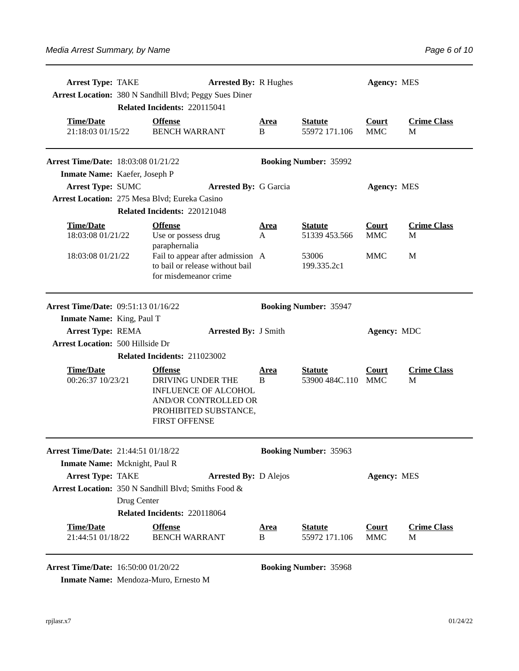| <b>Arrest Type: TAKE</b>                   | <b>Arrested By: R Hughes</b><br>Arrest Location: 380 N Sandhill Blvd; Peggy Sues Diner<br>Related Incidents: 220115041 |                                                                                                                                             |                  |                                  | <b>Agency: MES</b>         |                         |  |
|--------------------------------------------|------------------------------------------------------------------------------------------------------------------------|---------------------------------------------------------------------------------------------------------------------------------------------|------------------|----------------------------------|----------------------------|-------------------------|--|
| <b>Time/Date</b><br>21:18:03 01/15/22      |                                                                                                                        | <b>Offense</b><br><b>BENCH WARRANT</b>                                                                                                      | <u>Area</u><br>B | <b>Statute</b><br>55972 171.106  | <b>Court</b><br><b>MMC</b> | <b>Crime Class</b><br>M |  |
| <b>Arrest Time/Date: 18:03:08 01/21/22</b> |                                                                                                                        |                                                                                                                                             |                  | <b>Booking Number: 35992</b>     |                            |                         |  |
| Inmate Name: Kaefer, Joseph P              |                                                                                                                        |                                                                                                                                             |                  |                                  |                            |                         |  |
| Arrest Type: SUMC                          |                                                                                                                        | <b>Arrested By: G Garcia</b>                                                                                                                |                  |                                  | <b>Agency: MES</b>         |                         |  |
|                                            |                                                                                                                        | Arrest Location: 275 Mesa Blvd; Eureka Casino                                                                                               |                  |                                  |                            |                         |  |
|                                            |                                                                                                                        | Related Incidents: 220121048                                                                                                                |                  |                                  |                            |                         |  |
| <b>Time/Date</b><br>18:03:08 01/21/22      |                                                                                                                        | <b>Offense</b><br>Use or possess drug<br>paraphernalia                                                                                      | <u>Area</u><br>A | <b>Statute</b><br>51339 453.566  | <b>Court</b><br><b>MMC</b> | <b>Crime Class</b><br>M |  |
| 18:03:08 01/21/22                          |                                                                                                                        | Fail to appear after admission A<br>to bail or release without bail<br>for misdemeanor crime                                                |                  | 53006<br>199.335.2c1             | MMC                        | M                       |  |
| Arrest Time/Date: 09:51:13 01/16/22        |                                                                                                                        |                                                                                                                                             |                  | <b>Booking Number: 35947</b>     |                            |                         |  |
| <b>Inmate Name:</b> King, Paul T           |                                                                                                                        |                                                                                                                                             |                  |                                  |                            |                         |  |
| <b>Arrest Type: REMA</b>                   |                                                                                                                        | <b>Arrested By: J Smith</b>                                                                                                                 |                  |                                  | Agency: MDC                |                         |  |
| <b>Arrest Location: 500 Hillside Dr</b>    |                                                                                                                        |                                                                                                                                             |                  |                                  |                            |                         |  |
|                                            |                                                                                                                        | Related Incidents: 211023002                                                                                                                |                  |                                  |                            |                         |  |
| <b>Time/Date</b><br>00:26:37 10/23/21      |                                                                                                                        | <b>Offense</b><br>DRIVING UNDER THE<br><b>INFLUENCE OF ALCOHOL</b><br>AND/OR CONTROLLED OR<br>PROHIBITED SUBSTANCE,<br><b>FIRST OFFENSE</b> | <u>Area</u><br>B | <b>Statute</b><br>53900 484C.110 | <b>Court</b><br>MMC        | <b>Crime Class</b><br>M |  |
| Arrest Time/Date: 21:44:51 01/18/22        |                                                                                                                        |                                                                                                                                             |                  | <b>Booking Number: 35963</b>     |                            |                         |  |
| Inmate Name: Mcknight, Paul R              |                                                                                                                        |                                                                                                                                             |                  |                                  |                            |                         |  |
| Arrest Type: TAKE                          |                                                                                                                        | <b>Arrested By: D Alejos</b>                                                                                                                |                  |                                  | <b>Agency: MES</b>         |                         |  |
|                                            |                                                                                                                        | Arrest Location: 350 N Sandhill Blvd; Smiths Food &                                                                                         |                  |                                  |                            |                         |  |
|                                            | Drug Center                                                                                                            |                                                                                                                                             |                  |                                  |                            |                         |  |
|                                            |                                                                                                                        | Related Incidents: 220118064                                                                                                                |                  |                                  |                            |                         |  |
| <b>Time/Date</b>                           |                                                                                                                        | <b>Offense</b>                                                                                                                              | <u>Area</u>      | <b>Statute</b>                   | <b>Court</b>               | <b>Crime Class</b>      |  |
| 21:44:51 01/18/22                          |                                                                                                                        | <b>BENCH WARRANT</b>                                                                                                                        | B                | 55972 171.106                    | <b>MMC</b>                 | M                       |  |
| Arrest Time/Date: 16:50:00 01/20/22        |                                                                                                                        |                                                                                                                                             |                  | <b>Booking Number: 35968</b>     |                            |                         |  |

**Inmate Name:** Mendoza-Muro, Ernesto M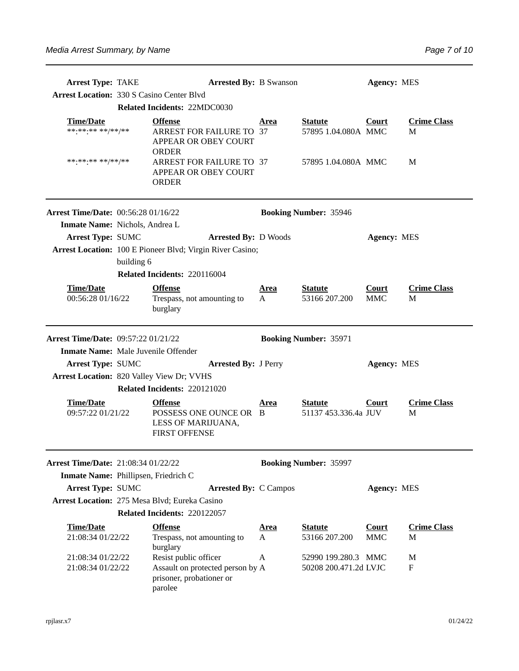| <b>Arrest Type: TAKE</b>                         |            | <b>Arrested By: B Swanson</b>                                                                    |                  |                                              | <b>Agency: MES</b>         |                         |  |
|--------------------------------------------------|------------|--------------------------------------------------------------------------------------------------|------------------|----------------------------------------------|----------------------------|-------------------------|--|
| <b>Arrest Location: 330 S Casino Center Blvd</b> |            |                                                                                                  |                  |                                              |                            |                         |  |
|                                                  |            | Related Incidents: 22MDC0030                                                                     |                  |                                              |                            |                         |  |
| <b>Time/Date</b><br>******** **/**/**            |            | <b>Offense</b><br><b>ARREST FOR FAILURE TO 37</b><br>APPEAR OR OBEY COURT<br><b>ORDER</b>        | Area             | <b>Statute</b><br>57895 1.04.080A MMC        | <b>Court</b>               | <b>Crime Class</b><br>M |  |
| ******** **/**/**                                |            | ARREST FOR FAILURE TO 37<br>APPEAR OR OBEY COURT<br><b>ORDER</b>                                 |                  | 57895 1.04.080A MMC                          |                            | M                       |  |
| Arrest Time/Date: 00:56:28 01/16/22              |            |                                                                                                  |                  | <b>Booking Number: 35946</b>                 |                            |                         |  |
| Inmate Name: Nichols, Andrea L                   |            |                                                                                                  |                  |                                              |                            |                         |  |
| <b>Arrest Type: SUMC</b>                         |            | <b>Arrested By: D Woods</b>                                                                      |                  |                                              | <b>Agency: MES</b>         |                         |  |
|                                                  | building 6 | Arrest Location: 100 E Pioneer Blvd; Virgin River Casino;                                        |                  |                                              |                            |                         |  |
|                                                  |            | Related Incidents: 220116004                                                                     |                  |                                              |                            |                         |  |
| <b>Time/Date</b><br>00:56:28 01/16/22            |            | <b>Offense</b><br>Trespass, not amounting to<br>burglary                                         | <u>Area</u><br>A | <b>Statute</b><br>53166 207.200              | <b>Court</b><br><b>MMC</b> | <b>Crime Class</b><br>М |  |
| Arrest Time/Date: 09:57:22 01/21/22              |            |                                                                                                  |                  | <b>Booking Number: 35971</b>                 |                            |                         |  |
| Inmate Name: Male Juvenile Offender              |            |                                                                                                  |                  |                                              |                            |                         |  |
| <b>Arrest Type: SUMC</b>                         |            | <b>Arrested By: J Perry</b>                                                                      |                  |                                              | <b>Agency: MES</b>         |                         |  |
| Arrest Location: 820 Valley View Dr; VVHS        |            |                                                                                                  |                  |                                              |                            |                         |  |
|                                                  |            | Related Incidents: 220121020                                                                     |                  |                                              |                            |                         |  |
| <b>Time/Date</b><br>09:57:22 01/21/22            |            | <b>Offense</b><br>POSSESS ONE OUNCE OR B<br>LESS OF MARIJUANA,<br><b>FIRST OFFENSE</b>           | Area             | <b>Statute</b><br>51137 453.336.4a JUV       | Court                      | <b>Crime Class</b><br>M |  |
| Arrest Time/Date: 21:08:34 01/22/22              |            |                                                                                                  |                  | <b>Booking Number: 35997</b>                 |                            |                         |  |
| Inmate Name: Phillipsen, Friedrich C             |            |                                                                                                  |                  |                                              |                            |                         |  |
| <b>Arrest Type: SUMC</b>                         |            | <b>Arrested By: C Campos</b>                                                                     |                  |                                              | <b>Agency: MES</b>         |                         |  |
|                                                  |            | Arrest Location: 275 Mesa Blvd; Eureka Casino                                                    |                  |                                              |                            |                         |  |
|                                                  |            | Related Incidents: 220122057                                                                     |                  |                                              |                            |                         |  |
| <b>Time/Date</b><br>21:08:34 01/22/22            |            | <b>Offense</b><br>Trespass, not amounting to<br>burglary                                         | <u>Area</u><br>A | <b>Statute</b><br>53166 207.200              | <b>Court</b><br><b>MMC</b> | <b>Crime Class</b><br>М |  |
| 21:08:34 01/22/22<br>21:08:34 01/22/22           |            | Resist public officer<br>Assault on protected person by A<br>prisoner, probationer or<br>parolee | A                | 52990 199.280.3 MMC<br>50208 200.471.2d LVJC |                            | M<br>F                  |  |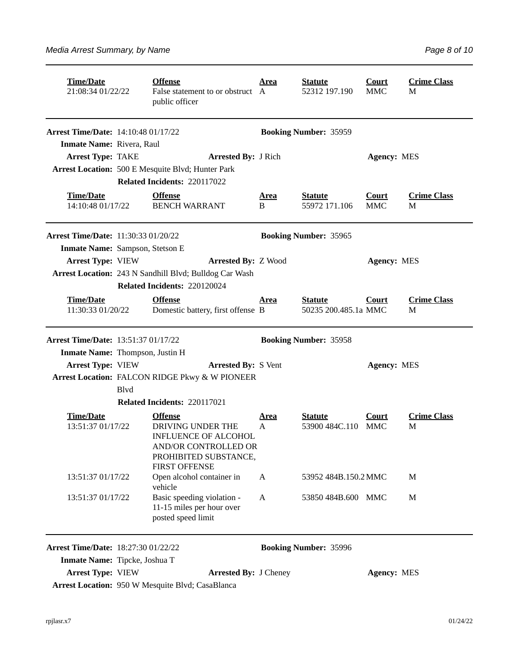| <b>Time/Date</b><br>21:08:34 01/22/22      |              | <b>Offense</b><br>False statement to or obstruct A<br>public officer                                                      | <u>Area</u>      | <b>Statute</b><br>52312 197.190        | <b>Court</b><br><b>MMC</b> | <b>Crime Class</b><br>M |
|--------------------------------------------|--------------|---------------------------------------------------------------------------------------------------------------------------|------------------|----------------------------------------|----------------------------|-------------------------|
| Arrest Time/Date: 14:10:48 01/17/22        |              |                                                                                                                           |                  | <b>Booking Number: 35959</b>           |                            |                         |
| Inmate Name: Rivera, Raul                  |              |                                                                                                                           |                  |                                        |                            |                         |
| <b>Arrest Type: TAKE</b>                   |              | <b>Arrested By: J Rich</b>                                                                                                |                  |                                        | <b>Agency: MES</b>         |                         |
|                                            |              | <b>Arrest Location: 500 E Mesquite Blvd; Hunter Park</b>                                                                  |                  |                                        |                            |                         |
|                                            |              | Related Incidents: 220117022                                                                                              |                  |                                        |                            |                         |
| <b>Time/Date</b><br>14:10:48 01/17/22      |              | <b>Offense</b><br><b>BENCH WARRANT</b>                                                                                    | <u>Area</u><br>B | <b>Statute</b><br>55972 171.106        | <b>Court</b><br><b>MMC</b> | <b>Crime Class</b><br>М |
| <b>Arrest Time/Date: 11:30:33 01/20/22</b> |              |                                                                                                                           |                  | <b>Booking Number: 35965</b>           |                            |                         |
| Inmate Name: Sampson, Stetson E            |              |                                                                                                                           |                  |                                        |                            |                         |
| <b>Arrest Type: VIEW</b>                   |              | <b>Arrested By: Z Wood</b>                                                                                                |                  |                                        | <b>Agency: MES</b>         |                         |
|                                            |              | Arrest Location: 243 N Sandhill Blvd; Bulldog Car Wash                                                                    |                  |                                        |                            |                         |
|                                            |              | Related Incidents: 220120024                                                                                              |                  |                                        |                            |                         |
| <b>Time/Date</b><br>11:30:33 01/20/22      |              | <b>Offense</b><br>Domestic battery, first offense B                                                                       | Area             | <b>Statute</b><br>50235 200.485.1a MMC | Court                      | <b>Crime Class</b><br>M |
| <b>Arrest Time/Date: 13:51:37 01/17/22</b> |              |                                                                                                                           |                  | <b>Booking Number: 35958</b>           |                            |                         |
| Inmate Name: Thompson, Justin H            |              |                                                                                                                           |                  |                                        |                            |                         |
| <b>Arrest Type: VIEW</b>                   |              | <b>Arrested By: S Vent</b>                                                                                                |                  |                                        | <b>Agency: MES</b>         |                         |
|                                            | <b>B</b> lvd | Arrest Location: FALCON RIDGE Pkwy & W PIONEER                                                                            |                  |                                        |                            |                         |
|                                            |              | Related Incidents: 220117021                                                                                              |                  |                                        |                            |                         |
| <b>Time/Date</b>                           |              | <b>Offense</b>                                                                                                            | <b>Area</b>      | <b>Statute</b>                         | Court                      | <b>Crime Class</b>      |
| 13:51:37 01/17/22                          |              | DRIVING UNDER THE<br><b>INFLUENCE OF ALCOHOL</b><br>AND/OR CONTROLLED OR<br>PROHIBITED SUBSTANCE,<br><b>FIRST OFFENSE</b> | $\mathsf{A}$     | 53900 484C.110 MMC                     |                            | M                       |
| 13:51:37 01/17/22                          |              | Open alcohol container in<br>vehicle                                                                                      | A                | 53952 484B.150.2 MMC                   |                            | M                       |
| 13:51:37 01/17/22                          |              | Basic speeding violation -<br>11-15 miles per hour over<br>posted speed limit                                             | A                | 53850 484B.600 MMC                     |                            | M                       |
| Arrest Time/Date: 18:27:30 01/22/22        |              |                                                                                                                           |                  | <b>Booking Number: 35996</b>           |                            |                         |
| Inmate Name: Tipcke, Joshua T              |              |                                                                                                                           |                  |                                        |                            |                         |
| <b>Arrest Type: VIEW</b>                   |              | <b>Arrested By: J Cheney</b>                                                                                              |                  |                                        | <b>Agency: MES</b>         |                         |
|                                            |              | Arrest Location: 950 W Mesquite Blvd; CasaBlanca                                                                          |                  |                                        |                            |                         |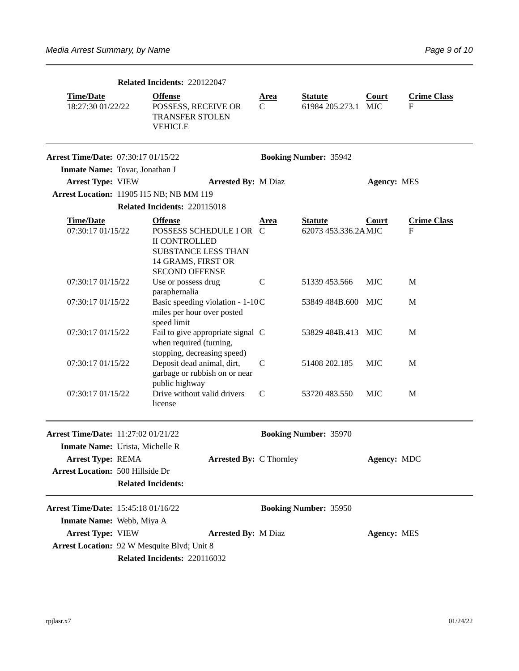| Related Incidents: 220122047               |  |                                                                                                                                         |                  |                                       |                    |                         |
|--------------------------------------------|--|-----------------------------------------------------------------------------------------------------------------------------------------|------------------|---------------------------------------|--------------------|-------------------------|
| <b>Time/Date</b><br>18:27:30 01/22/22      |  | <b>Offense</b><br>POSSESS, RECEIVE OR<br><b>TRANSFER STOLEN</b><br><b>VEHICLE</b>                                                       | <u>Area</u><br>C | <b>Statute</b><br>61984 205.273.1 MJC | Court              | <b>Crime Class</b><br>F |
| <b>Arrest Time/Date: 07:30:17 01/15/22</b> |  |                                                                                                                                         |                  | <b>Booking Number: 35942</b>          |                    |                         |
| Inmate Name: Tovar, Jonathan J             |  |                                                                                                                                         |                  |                                       |                    |                         |
| <b>Arrest Type: VIEW</b>                   |  | <b>Arrested By: M Diaz</b>                                                                                                              |                  |                                       | Agency: MES        |                         |
|                                            |  | Arrest Location: 11905 I15 NB; NB MM 119                                                                                                |                  |                                       |                    |                         |
|                                            |  | Related Incidents: 220115018                                                                                                            |                  |                                       |                    |                         |
| <b>Time/Date</b><br>07:30:17 01/15/22      |  | <b>Offense</b><br>POSSESS SCHEDULE I OR C<br><b>II CONTROLLED</b><br>SUBSTANCE LESS THAN<br>14 GRAMS, FIRST OR<br><b>SECOND OFFENSE</b> | Area             | <b>Statute</b><br>62073 453.336.2AMJC | Court              | <b>Crime Class</b><br>F |
| 07:30:17 01/15/22                          |  | Use or possess drug<br>paraphernalia                                                                                                    | $\mathsf{C}$     | 51339 453.566                         | MJC                | M                       |
| 07:30:17 01/15/22                          |  | Basic speeding violation - 1-10C<br>miles per hour over posted<br>speed limit                                                           |                  | 53849 484B.600 MJC                    |                    | M                       |
| 07:30:17 01/15/22                          |  | Fail to give appropriate signal C<br>when required (turning,<br>stopping, decreasing speed)                                             |                  | 53829 484B.413 MJC                    |                    | M                       |
| 07:30:17 01/15/22                          |  | Deposit dead animal, dirt,<br>garbage or rubbish on or near<br>public highway                                                           | C                | 51408 202.185                         | <b>MJC</b>         | M                       |
| 07:30:17 01/15/22                          |  | Drive without valid drivers<br>license                                                                                                  | $\mathsf{C}$     | 53720 483.550                         | <b>MJC</b>         | M                       |
| Arrest Time/Date: 11:27:02 01/21/22        |  |                                                                                                                                         |                  | <b>Booking Number: 35970</b>          |                    |                         |
| Inmate Name: Urista, Michelle R            |  |                                                                                                                                         |                  |                                       |                    |                         |
| <b>Arrest Type: REMA</b>                   |  | <b>Arrested By: C Thornley</b>                                                                                                          |                  |                                       | Agency: MDC        |                         |
| <b>Arrest Location: 500 Hillside Dr</b>    |  | <b>Related Incidents:</b>                                                                                                               |                  |                                       |                    |                         |
| Arrest Time/Date: 15:45:18 01/16/22        |  |                                                                                                                                         |                  | <b>Booking Number: 35950</b>          |                    |                         |
| Inmate Name: Webb, Miya A                  |  |                                                                                                                                         |                  |                                       |                    |                         |
| <b>Arrest Type: VIEW</b>                   |  | <b>Arrested By: M Diaz</b>                                                                                                              |                  |                                       | <b>Agency: MES</b> |                         |
|                                            |  | Arrest Location: 92 W Mesquite Blvd; Unit 8                                                                                             |                  |                                       |                    |                         |
|                                            |  | Related Incidents: 220116032                                                                                                            |                  |                                       |                    |                         |